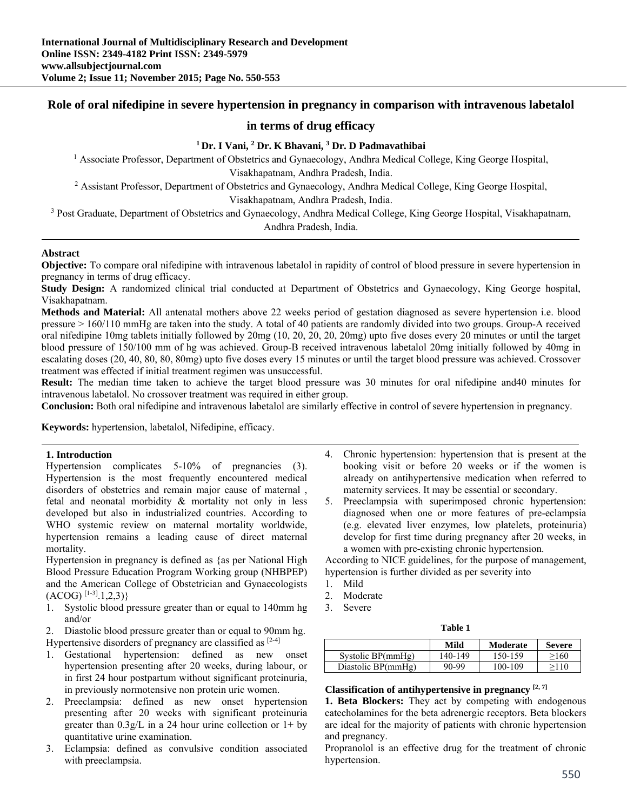# **Role of oral nifedipine in severe hypertension in pregnancy in comparison with intravenous labetalol**

# **in terms of drug efficacy**

# <sup>1</sup> Dr. I Vani, <sup>2</sup> Dr. K Bhavani, <sup>3</sup> Dr. D Padmavathibai

<sup>1</sup> Associate Professor, Department of Obstetrics and Gynaecology, Andhra Medical College, King George Hospital,

Visakhapatnam, Andhra Pradesh, India.<br><sup>2</sup> Assistant Professor, Department of Obstetrics and Gynaecology, Andhra Medical College, King George Hospital,

Visakhapatnam, Andhra Pradesh, India.<br><sup>3</sup> Post Graduate, Department of Obstetrics and Gynaecology, Andhra Medical College, King George Hospital, Visakhapatnam, Andhra Pradesh, India.

## **Abstract**

**Objective:** To compare oral nifedipine with intravenous labetalol in rapidity of control of blood pressure in severe hypertension in pregnancy in terms of drug efficacy.

**Study Design:** A randomized clinical trial conducted at Department of Obstetrics and Gynaecology, King George hospital, Visakhapatnam.

**Methods and Material:** All antenatal mothers above 22 weeks period of gestation diagnosed as severe hypertension i.e. blood pressure > 160/110 mmHg are taken into the study. A total of 40 patients are randomly divided into two groups. Group-A received oral nifedipine 10mg tablets initially followed by 20mg (10, 20, 20, 20, 20mg) upto five doses every 20 minutes or until the target blood pressure of 150/100 mm of hg was achieved. Group-B received intravenous labetalol 20mg initially followed by 40mg in escalating doses (20, 40, 80, 80, 80mg) upto five doses every 15 minutes or until the target blood pressure was achieved. Crossover treatment was effected if initial treatment regimen was unsuccessful.

**Result:** The median time taken to achieve the target blood pressure was 30 minutes for oral nifedipine and40 minutes for intravenous labetalol. No crossover treatment was required in either group.

**Conclusion:** Both oral nifedipine and intravenous labetalol are similarly effective in control of severe hypertension in pregnancy.

**Keywords:** hypertension, labetalol, Nifedipine, efficacy.

#### **1. Introduction**

Hypertension complicates 5-10% of pregnancies (3). Hypertension is the most frequently encountered medical disorders of obstetrics and remain major cause of maternal , fetal and neonatal morbidity & mortality not only in less developed but also in industrialized countries. According to WHO systemic review on maternal mortality worldwide, hypertension remains a leading cause of direct maternal mortality.

Hypertension in pregnancy is defined as {as per National High Blood Pressure Education Program Working group (NHBPEP) and the American College of Obstetrician and Gynaecologists  $(ACOG)^{[1-3]}$ .1,2,3)}

1. Systolic blood pressure greater than or equal to 140mm hg and/or

2. Diastolic blood pressure greater than or equal to 90mm hg. Hypertensive disorders of pregnancy are classified as  $[2-4]$ 

- 1. Gestational hypertension: defined as new onset hypertension presenting after 20 weeks, during labour, or in first 24 hour postpartum without significant proteinuria, in previously normotensive non protein uric women.
- 2. Preeclampsia: defined as new onset hypertension presenting after 20 weeks with significant proteinuria greater than  $0.3g/L$  in a 24 hour urine collection or  $1+$  by quantitative urine examination.
- 3. Eclampsia: defined as convulsive condition associated with preeclampsia.
- 4. Chronic hypertension: hypertension that is present at the booking visit or before 20 weeks or if the women is already on antihypertensive medication when referred to maternity services. It may be essential or secondary.
- 5. Preeclampsia with superimposed chronic hypertension: diagnosed when one or more features of pre-eclampsia (e.g. elevated liver enzymes, low platelets, proteinuria) develop for first time during pregnancy after 20 weeks, in a women with pre-existing chronic hypertension.

According to NICE guidelines, for the purpose of management, hypertension is further divided as per severity into

- 1. Mild
- 2. Moderate
- 3. Severe

| .<br>v<br>×<br>v<br>۰. |
|------------------------|
|------------------------|

|                    | Mild    | Moderate | <b>Severe</b> |
|--------------------|---------|----------|---------------|
| Systolic BP(mmHg)  | 140-149 | 150-159  | >160          |
| Diastolic BP(mmHg) | 90-99   | 100-109  | >110          |

#### **Classification of antihypertensive in pregnancy [2, 7]**

**1. Beta Blockers:** They act by competing with endogenous catecholamines for the beta adrenergic receptors. Beta blockers are ideal for the majority of patients with chronic hypertension and pregnancy.

Propranolol is an effective drug for the treatment of chronic hypertension.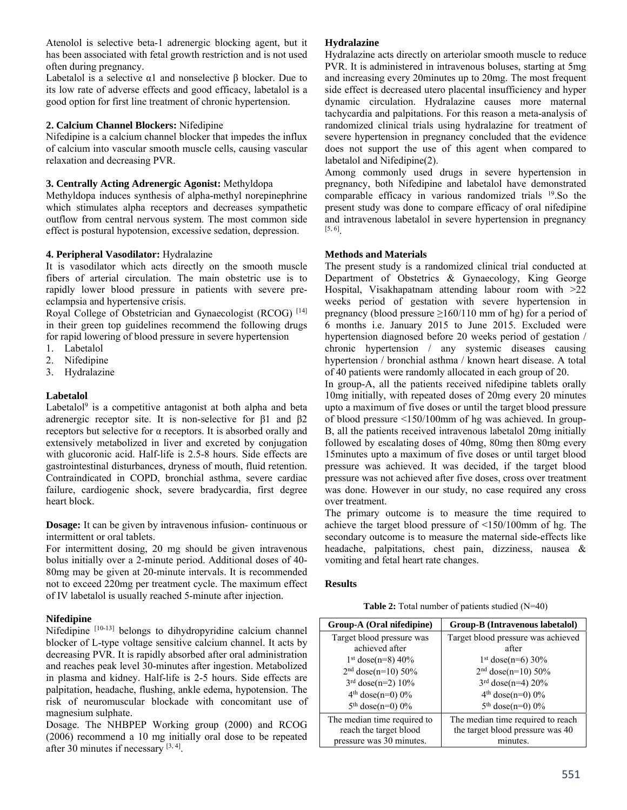Atenolol is selective beta-1 adrenergic blocking agent, but it has been associated with fetal growth restriction and is not used often during pregnancy.

Labetalol is a selective  $\alpha$ 1 and nonselective  $\beta$  blocker. Due to its low rate of adverse effects and good efficacy, labetalol is a good option for first line treatment of chronic hypertension.

## **2. Calcium Channel Blockers:** Nifedipine

Nifedipine is a calcium channel blocker that impedes the influx of calcium into vascular smooth muscle cells, causing vascular relaxation and decreasing PVR.

### **3. Centrally Acting Adrenergic Agonist:** Methyldopa

Methyldopa induces synthesis of alpha-methyl norepinephrine which stimulates alpha receptors and decreases sympathetic outflow from central nervous system. The most common side effect is postural hypotension, excessive sedation, depression.

### **4. Peripheral Vasodilator:** Hydralazine

It is vasodilator which acts directly on the smooth muscle fibers of arterial circulation. The main obstetric use is to rapidly lower blood pressure in patients with severe preeclampsia and hypertensive crisis.

Royal College of Obstetrician and Gynaecologist (RCOG)<sup>[14]</sup> in their green top guidelines recommend the following drugs for rapid lowering of blood pressure in severe hypertension

- 1. Labetalol
- 2. Nifedipine
- 3. Hydralazine

## **Labetalol**

Labetalol<sup>9</sup> is a competitive antagonist at both alpha and beta adrenergic receptor site. It is non-selective for β1 and β2 receptors but selective for  $\alpha$  receptors. It is absorbed orally and extensively metabolized in liver and excreted by conjugation with glucoronic acid. Half-life is 2.5-8 hours. Side effects are gastrointestinal disturbances, dryness of mouth, fluid retention. Contraindicated in COPD, bronchial asthma, severe cardiac failure, cardiogenic shock, severe bradycardia, first degree heart block.

**Dosage:** It can be given by intravenous infusion- continuous or intermittent or oral tablets.

For intermittent dosing, 20 mg should be given intravenous bolus initially over a 2-minute period. Additional doses of 40- 80mg may be given at 20-minute intervals. It is recommended not to exceed 220mg per treatment cycle. The maximum effect of IV labetalol is usually reached 5-minute after injection.

#### **Nifedipine**

Nifedipine [10-13] belongs to dihydropyridine calcium channel blocker of L-type voltage sensitive calcium channel. It acts by decreasing PVR. It is rapidly absorbed after oral administration and reaches peak level 30-minutes after ingestion. Metabolized in plasma and kidney. Half-life is 2-5 hours. Side effects are palpitation, headache, flushing, ankle edema, hypotension. The risk of neuromuscular blockade with concomitant use of magnesium sulphate.

Dosage. The NHBPEP Working group (2000) and RCOG (2006) recommend a 10 mg initially oral dose to be repeated after 30 minutes if necessary  $[3, 4]$ .

### **Hydralazine**

Hydralazine acts directly on arteriolar smooth muscle to reduce PVR. It is administered in intravenous boluses, starting at 5mg and increasing every 20minutes up to 20mg. The most frequent side effect is decreased utero placental insufficiency and hyper dynamic circulation. Hydralazine causes more maternal tachycardia and palpitations. For this reason a meta-analysis of randomized clinical trials using hydralazine for treatment of severe hypertension in pregnancy concluded that the evidence does not support the use of this agent when compared to labetalol and Nifedipine(2).

Among commonly used drugs in severe hypertension in pregnancy, both Nifedipine and labetalol have demonstrated comparable efficacy in various randomized trials 19.So the present study was done to compare efficacy of oral nifedipine and intravenous labetalol in severe hypertension in pregnancy [5, 6].

### **Methods and Materials**

The present study is a randomized clinical trial conducted at Department of Obstetrics & Gynaecology, King George Hospital, Visakhapatnam attending labour room with >22 weeks period of gestation with severe hypertension in pregnancy (blood pressure  $\geq 160/110$  mm of hg) for a period of 6 months i.e. January 2015 to June 2015. Excluded were hypertension diagnosed before 20 weeks period of gestation / chronic hypertension / any systemic diseases causing hypertension / bronchial asthma / known heart disease. A total of 40 patients were randomly allocated in each group of 20.

In group-A, all the patients received nifedipine tablets orally 10mg initially, with repeated doses of 20mg every 20 minutes upto a maximum of five doses or until the target blood pressure of blood pressure <150/100mm of hg was achieved. In group-B, all the patients received intravenous labetalol 20mg initially followed by escalating doses of 40mg, 80mg then 80mg every 15minutes upto a maximum of five doses or until target blood pressure was achieved. It was decided, if the target blood pressure was not achieved after five doses, cross over treatment was done. However in our study, no case required any cross over treatment.

The primary outcome is to measure the time required to achieve the target blood pressure of <150/100mm of hg. The secondary outcome is to measure the maternal side-effects like headache, palpitations, chest pain, dizziness, nausea & vomiting and fetal heart rate changes.

#### **Results**

**Table 2:** Total number of patients studied (N=40)

| Group-A (Oral nifedipine)   | Group-B (Intravenous labetalol)    |  |
|-----------------------------|------------------------------------|--|
| Target blood pressure was   | Target blood pressure was achieved |  |
| achieved after              | after                              |  |
| $1st$ dose(n=8) 40%         | $1st$ dose(n=6) 30%                |  |
| $2nd$ dose(n=10) 50%        | $2nd dose(n=10) 50%$               |  |
| $3rd$ dose(n=2) 10%         | $3rd$ dose(n=4) 20%                |  |
| $4th$ dose(n=0) 0%          | $4th$ dose(n=0) 0%                 |  |
| $5th$ dose(n=0) 0%          | $5th$ dose(n=0) 0%                 |  |
| The median time required to | The median time required to reach  |  |
| reach the target blood      | the target blood pressure was 40   |  |
| pressure was 30 minutes.    | minutes                            |  |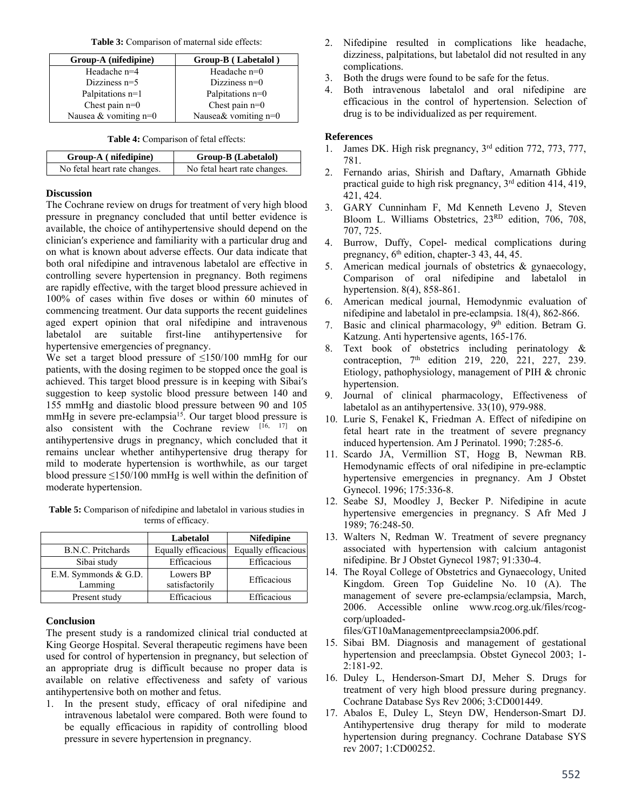**Table 3:** Comparison of maternal side effects:

| Group-A (nifedipine)    | Group-B (Labetalol)    |
|-------------------------|------------------------|
| Headache n=4            | Headache $n=0$         |
| Dizziness $n=5$         | Dizziness $n=0$        |
| Palpitations n=1        | Palpitations n=0       |
| Chest pain $n=0$        | Chest pain $n=0$       |
| Nausea & vomiting $n=0$ | Nausea& vomiting $n=0$ |

**Table 4:** Comparison of fetal effects:

| Group-A (nifedipine)         | <b>Group-B</b> (Labetalol)   |
|------------------------------|------------------------------|
| No fetal heart rate changes. | No fetal heart rate changes. |

### **Discussion**

The Cochrane review on drugs for treatment of very high blood pressure in pregnancy concluded that until better evidence is available, the choice of antihypertensive should depend on the clinician′s experience and familiarity with a particular drug and on what is known about adverse effects. Our data indicate that both oral nifedipine and intravenous labetalol are effective in controlling severe hypertension in pregnancy. Both regimens are rapidly effective, with the target blood pressure achieved in 100% of cases within five doses or within 60 minutes of commencing treatment. Our data supports the recent guidelines aged expert opinion that oral nifedipine and intravenous labetalol are suitable first-line antihypertensive for hypertensive emergencies of pregnancy.

We set a target blood pressure of  $\leq 150/100$  mmHg for our patients, with the dosing regimen to be stopped once the goal is achieved. This target blood pressure is in keeping with Sibai′s suggestion to keep systolic blood pressure between 140 and 155 mmHg and diastolic blood pressure between 90 and 105 mmHg in severe pre-eclampsia<sup>15</sup>. Our target blood pressure is also consistent with the Cochrane review [16, 17] on antihypertensive drugs in pregnancy, which concluded that it remains unclear whether antihypertensive drug therapy for mild to moderate hypertension is worthwhile, as our target blood pressure  $\leq 150/100$  mmHg is well within the definition of moderate hypertension.

**Table 5:** Comparison of nifedipine and labetalol in various studies in terms of efficacy.

|                                 | Labetalol                   | <b>Nifedipine</b>   |
|---------------------------------|-----------------------------|---------------------|
| B.N.C. Pritchards               | Equally efficacious         | Equally efficacious |
| Sibai study                     | Efficacious                 | Efficacious         |
| E.M. Symmonds & G.D.<br>Lamming | Lowers BP<br>satisfactorily | Efficacious         |
| Present study                   | Efficacious                 | Efficacious         |

## **Conclusion**

The present study is a randomized clinical trial conducted at King George Hospital. Several therapeutic regimens have been used for control of hypertension in pregnancy, but selection of an appropriate drug is difficult because no proper data is available on relative effectiveness and safety of various antihypertensive both on mother and fetus.

1. In the present study, efficacy of oral nifedipine and intravenous labetalol were compared. Both were found to be equally efficacious in rapidity of controlling blood pressure in severe hypertension in pregnancy.

- 2. Nifedipine resulted in complications like headache, dizziness, palpitations, but labetalol did not resulted in any complications.
- 3. Both the drugs were found to be safe for the fetus.
- 4. Both intravenous labetalol and oral nifedipine are efficacious in the control of hypertension. Selection of drug is to be individualized as per requirement.

# **References**

- 1. James DK. High risk pregnancy, 3rd edition 772, 773, 777, 781.
- 2. Fernando arias, Shirish and Daftary, Amarnath Gbhide practical guide to high risk pregnancy,  $3<sup>rd</sup>$  edition 414, 419, 421, 424.
- 3. GARY Cunninham F, Md Kenneth Leveno J, Steven Bloom L. Williams Obstetrics, 23RD edition, 706, 708, 707, 725.
- 4. Burrow, Duffy, Copel- medical complications during pregnancy,  $6<sup>th</sup>$  edition, chapter-3 43, 44, 45.
- 5. American medical journals of obstetrics & gynaecology, Comparison of oral nifedipine and labetalol in hypertension. 8(4), 858-861.
- 6. American medical journal, Hemodynmic evaluation of nifedipine and labetalol in pre-eclampsia. 18(4), 862-866.
- 7. Basic and clinical pharmacology, 9<sup>th</sup> edition. Betram G. Katzung. Anti hypertensive agents, 165-176.
- 8. Text book of obstetrics including perinatology & contraception,  $7<sup>th</sup>$  edition 219, 220, 221, 227, 239. Etiology, pathophysiology, management of PIH & chronic hypertension.
- 9. Journal of clinical pharmacology, Effectiveness of labetalol as an antihypertensive. 33(10), 979-988.
- 10. Lurie S, Fenakel K, Friedman A. Effect of nifedipine on fetal heart rate in the treatment of severe pregnancy induced hypertension. Am J Perinatol. 1990; 7:285-6.
- 11. Scardo JA, Vermillion ST, Hogg B, Newman RB. Hemodynamic effects of oral nifedipine in pre-eclamptic hypertensive emergencies in pregnancy. Am J Obstet Gynecol. 1996; 175:336-8.
- 12. Seabe SJ, Moodley J, Becker P. Nifedipine in acute hypertensive emergencies in pregnancy. S Afr Med J 1989; 76:248-50.
- 13. Walters N, Redman W. Treatment of severe pregnancy associated with hypertension with calcium antagonist nifedipine. Br J Obstet Gynecol 1987; 91:330-4.
- 14. The Royal College of Obstetrics and Gynaecology, United Kingdom. Green Top Guideline No. 10 (A). The management of severe pre-eclampsia/eclampsia, March, 2006. Accessible online www.rcog.org.uk/files/rcogcorp/uploaded-

files/GT10aManagementpreeclampsia2006.pdf.

- 15. Sibai BM. Diagnosis and management of gestational hypertension and preeclampsia. Obstet Gynecol 2003; 1- 2:181-92.
- 16. Duley L, Henderson-Smart DJ, Meher S. Drugs for treatment of very high blood pressure during pregnancy. Cochrane Database Sys Rev 2006; 3:CD001449.
- 17. Abalos E, Duley L, Steyn DW, Henderson-Smart DJ. Antihypertensive drug therapy for mild to moderate hypertension during pregnancy. Cochrane Database SYS rev 2007; 1:CD00252.